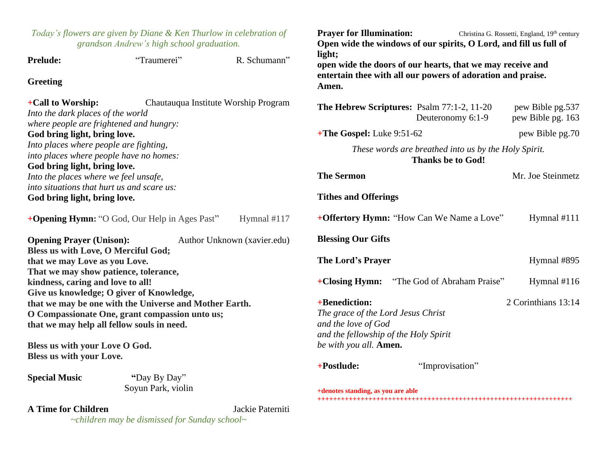| Today's flowers are given by Diane & Ken Thurlow in celebration of<br>grandson Andrew's high school graduation.                                                                                                                                                                                                    |                                                       |                             | <b>Prayer for Illumination:</b><br>Christina G. Rossetti, England, 19th century<br>Open wide the windows of our spirits, O Lord, and fill us full of |                   |                                       |
|--------------------------------------------------------------------------------------------------------------------------------------------------------------------------------------------------------------------------------------------------------------------------------------------------------------------|-------------------------------------------------------|-----------------------------|------------------------------------------------------------------------------------------------------------------------------------------------------|-------------------|---------------------------------------|
| <b>Prelude:</b>                                                                                                                                                                                                                                                                                                    | "Traumerei"                                           | R. Schumann"                | light;<br>open wide the doors of our hearts, that we may receive and                                                                                 |                   |                                       |
| <b>Greeting</b>                                                                                                                                                                                                                                                                                                    |                                                       |                             | entertain thee with all our powers of adoration and praise.<br>Amen.                                                                                 |                   |                                       |
| +Call to Worship:<br>Chautauqua Institute Worship Program<br>Into the dark places of the world<br>where people are frightened and hungry:<br>God bring light, bring love.<br>Into places where people are fighting,<br>into places where people have no homes:<br>God bring light, bring love.                     |                                                       |                             | The Hebrew Scriptures: Psalm 77:1-2, 11-20                                                                                                           | Deuteronomy 6:1-9 | pew Bible pg.537<br>pew Bible pg. 163 |
|                                                                                                                                                                                                                                                                                                                    |                                                       |                             | +The Gospel: Luke 9:51-62                                                                                                                            |                   | pew Bible pg.70                       |
|                                                                                                                                                                                                                                                                                                                    |                                                       |                             | These words are breathed into us by the Holy Spirit.<br><b>Thanks be to God!</b>                                                                     |                   |                                       |
| Into the places where we feel unsafe,                                                                                                                                                                                                                                                                              |                                                       |                             | <b>The Sermon</b>                                                                                                                                    |                   | Mr. Joe Steinmetz                     |
| into situations that hurt us and scare us:<br>God bring light, bring love.                                                                                                                                                                                                                                         |                                                       |                             | <b>Tithes and Offerings</b>                                                                                                                          |                   |                                       |
|                                                                                                                                                                                                                                                                                                                    | + <b>Opening Hymn:</b> "O God, Our Help in Ages Past" | Hymnal #117                 | +Offertory Hymn: "How Can We Name a Love"                                                                                                            |                   | Hymnal #111                           |
| <b>Opening Prayer (Unison):</b><br>Bless us with Love, O Merciful God;                                                                                                                                                                                                                                             |                                                       | Author Unknown (xavier.edu) | <b>Blessing Our Gifts</b>                                                                                                                            |                   |                                       |
| that we may Love as you Love.                                                                                                                                                                                                                                                                                      |                                                       |                             | The Lord's Prayer                                                                                                                                    |                   | Hymnal #895                           |
| That we may show patience, tolerance,<br>kindness, caring and love to all!<br>Give us knowledge; O giver of Knowledge,<br>that we may be one with the Universe and Mother Earth.<br>O Compassionate One, grant compassion unto us;<br>that we may help all fellow souls in need.<br>Bless us with your Love O God. |                                                       |                             | +Closing Hymn: "The God of Abraham Praise"                                                                                                           |                   | Hymnal #116                           |
|                                                                                                                                                                                                                                                                                                                    |                                                       |                             | +Benediction:<br>The grace of the Lord Jesus Christ<br>and the love of God                                                                           |                   | 2 Corinthians 13:14                   |
|                                                                                                                                                                                                                                                                                                                    |                                                       |                             | and the fellowship of the Holy Spirit<br>be with you all. Amen.                                                                                      |                   |                                       |
| Bless us with your Love.                                                                                                                                                                                                                                                                                           |                                                       |                             | +Postlude:                                                                                                                                           | "Improvisation"   |                                       |
| <b>Special Music</b>                                                                                                                                                                                                                                                                                               | "Day By Day"<br>Soyun Park, violin                    |                             | +denotes standing, as you are able                                                                                                                   |                   |                                       |
| <b>A Time for Children</b>                                                                                                                                                                                                                                                                                         |                                                       | Jackie Paterniti            |                                                                                                                                                      |                   |                                       |

*~children may be dismissed for Sunday school~*